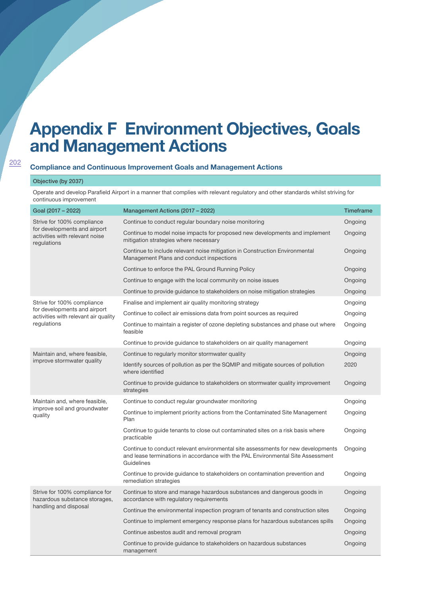# **Appendix F Environment Objectives, Goals and Management Actions**

## **Compliance and Continuous Improvement Goals and Management Actions**

#### Objective (by 2037)

202

Operate and develop Parafield Airport in a manner that complies with relevant regulatory and other standards whilst striving for continuous improvement

| Goal (2017 - 2022)                                                                                          | Management Actions (2017 - 2022)                                                                                                                                                  | <b>Timeframe</b> |
|-------------------------------------------------------------------------------------------------------------|-----------------------------------------------------------------------------------------------------------------------------------------------------------------------------------|------------------|
| Strive for 100% compliance<br>for developments and airport<br>activities with relevant noise<br>regulations | Continue to conduct regular boundary noise monitoring                                                                                                                             | Ongoing          |
|                                                                                                             | Continue to model noise impacts for proposed new developments and implement<br>mitigation strategies where necessary                                                              | Ongoing          |
|                                                                                                             | Continue to include relevant noise mitigation in Construction Environmental<br>Management Plans and conduct inspections                                                           | Ongoing          |
|                                                                                                             | Continue to enforce the PAL Ground Running Policy                                                                                                                                 | Ongoing          |
|                                                                                                             | Continue to engage with the local community on noise issues                                                                                                                       | Ongoing          |
|                                                                                                             | Continue to provide guidance to stakeholders on noise mitigation strategies                                                                                                       | Ongoing          |
| Strive for 100% compliance                                                                                  | Finalise and implement air quality monitoring strategy                                                                                                                            | Ongoing          |
| for developments and airport<br>activities with relevant air quality                                        | Continue to collect air emissions data from point sources as required                                                                                                             | Ongoing          |
| regulations                                                                                                 | Continue to maintain a register of ozone depleting substances and phase out where<br>feasible                                                                                     | Ongoing          |
|                                                                                                             | Continue to provide guidance to stakeholders on air quality management                                                                                                            | Ongoing          |
| Maintain and, where feasible,                                                                               | Continue to regularly monitor stormwater quality                                                                                                                                  | Ongoing          |
| improve stormwater quality                                                                                  | Identify sources of pollution as per the SQMIP and mitigate sources of pollution<br>where identified                                                                              | 2020             |
|                                                                                                             | Continue to provide guidance to stakeholders on stormwater quality improvement<br>strategies                                                                                      | Ongoing          |
| Maintain and, where feasible,<br>improve soil and groundwater<br>quality                                    | Continue to conduct regular groundwater monitoring                                                                                                                                | Ongoing          |
|                                                                                                             | Continue to implement priority actions from the Contaminated Site Management<br>Plan                                                                                              | Ongoing          |
|                                                                                                             | Continue to guide tenants to close out contaminated sites on a risk basis where<br>practicable                                                                                    | Ongoing          |
|                                                                                                             | Continue to conduct relevant environmental site assessments for new developments<br>and lease terminations in accordance with the PAL Environmental Site Assessment<br>Guidelines | Ongoing          |
|                                                                                                             | Continue to provide guidance to stakeholders on contamination prevention and<br>remediation strategies                                                                            | Ongoing          |
| Strive for 100% compliance for<br>hazardous substance storages,                                             | Continue to store and manage hazardous substances and dangerous goods in<br>accordance with regulatory requirements                                                               | Ongoing          |
| handling and disposal                                                                                       | Continue the environmental inspection program of tenants and construction sites                                                                                                   | Ongoing          |
|                                                                                                             | Continue to implement emergency response plans for hazardous substances spills                                                                                                    | Ongoing          |
|                                                                                                             | Continue asbestos audit and removal program                                                                                                                                       | Ongoing          |
|                                                                                                             | Continue to provide guidance to stakeholders on hazardous substances<br>management                                                                                                | Ongoing          |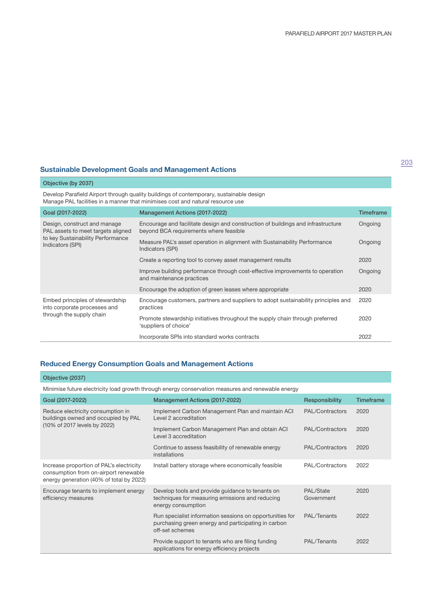# **Sustainable Development Goals and Management Actions**

| Objective (by 2037)                                                                                                         |                                                                                                                                                                           |                  |
|-----------------------------------------------------------------------------------------------------------------------------|---------------------------------------------------------------------------------------------------------------------------------------------------------------------------|------------------|
|                                                                                                                             | Develop Parafield Airport through quality buildings of contemporary, sustainable design<br>Manage PAL facilities in a manner that minimises cost and natural resource use |                  |
| Goal (2017-2022)                                                                                                            | Management Actions (2017-2022)                                                                                                                                            | <b>Timeframe</b> |
| Design, construct and manage<br>PAL assets to meet targets aligned<br>to key Sustainability Performance<br>Indicators (SPI) | Encourage and facilitate design and construction of buildings and infrastructure<br>beyond BCA requirements where feasible                                                | Ongoing          |
|                                                                                                                             | Measure PAL's asset operation in alignment with Sustainability Performance<br>Indicators (SPI)                                                                            | Ongoing          |
|                                                                                                                             | Create a reporting tool to convey asset management results                                                                                                                | 2020             |
|                                                                                                                             | Improve building performance through cost-effective improvements to operation<br>and maintenance practices                                                                | Ongoing          |
|                                                                                                                             | Encourage the adoption of green leases where appropriate                                                                                                                  | 2020             |
| Embed principles of stewardship<br>into corporate processes and<br>through the supply chain                                 | Encourage customers, partners and suppliers to adopt sustainability principles and<br>practices                                                                           | 2020             |
|                                                                                                                             | Promote stewardship initiatives throughout the supply chain through preferred<br>'suppliers of choice'                                                                    | 2020             |
|                                                                                                                             | Incorporate SPIs into standard works contracts                                                                                                                            | 2022             |

# **Reduced Energy Consumption Goals and Management Actions**

| Objective (2037)                                                                                                              |                                                                                                                                    |                         |                  |
|-------------------------------------------------------------------------------------------------------------------------------|------------------------------------------------------------------------------------------------------------------------------------|-------------------------|------------------|
| Minimise future electricity load growth through energy conservation measures and renewable energy                             |                                                                                                                                    |                         |                  |
| Goal (2017-2022)                                                                                                              | <b>Management Actions (2017-2022)</b>                                                                                              | <b>Responsibility</b>   | <b>Timeframe</b> |
| Reduce electricity consumption in<br>buildings owned and occupied by PAL<br>(10% of 2017 levels by 2022)                      | Implement Carbon Management Plan and maintain ACI<br>Level 2 accreditation                                                         | PAL/Contractors         | 2020             |
|                                                                                                                               | Implement Carbon Management Plan and obtain ACI<br>Level 3 accreditation                                                           | PAL/Contractors         | 2020             |
|                                                                                                                               | Continue to assess feasibility of renewable energy<br>installations                                                                | PAL/Contractors         | 2020             |
| Increase proportion of PAL's electricity<br>consumption from on-airport renewable<br>energy generation (40% of total by 2022) | Install battery storage where economically feasible                                                                                | PAL/Contractors         | 2022             |
| Encourage tenants to implement energy<br>efficiency measures                                                                  | Develop tools and provide guidance to tenants on<br>techniques for measuring emissions and reducing<br>energy consumption          | PAL/State<br>Government | 2020             |
|                                                                                                                               | Run specialist information sessions on opportunities for<br>purchasing green energy and participating in carbon<br>off-set schemes | PAL/Tenants             | 2022             |
|                                                                                                                               | Provide support to tenants who are filing funding<br>applications for energy efficiency projects                                   | PAL/Tenants             | 2022             |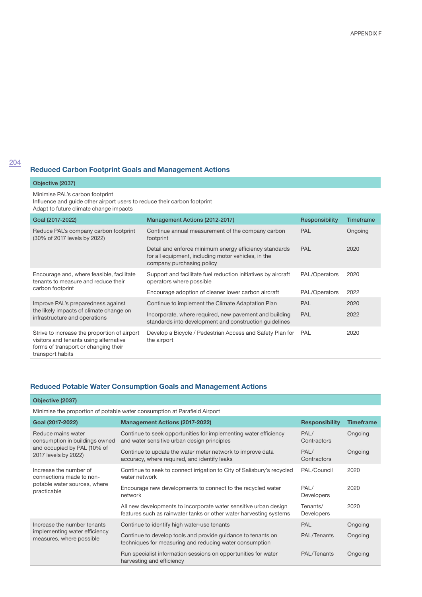## **Reduced Carbon Footprint Goals and Management Actions**

#### Objective (2037)

Minimise PAL's carbon footprint

Influence and guide other airport users to reduce their carbon footprint Adapt to future climate change impacts

| Goal (2017-2022)                                                                                                                                   | Management Actions (2012-2017)                                                                                                             | Responsibility | Timeframe |
|----------------------------------------------------------------------------------------------------------------------------------------------------|--------------------------------------------------------------------------------------------------------------------------------------------|----------------|-----------|
| Reduce PAL's company carbon footprint<br>(30% of 2017 levels by 2022)                                                                              | Continue annual measurement of the company carbon<br>footprint                                                                             | <b>PAL</b>     | Ongoing   |
|                                                                                                                                                    | Detail and enforce minimum energy efficiency standards<br>for all equipment, including motor vehicles, in the<br>company purchasing policy | <b>PAL</b>     | 2020      |
| Encourage and, where feasible, facilitate<br>tenants to measure and reduce their<br>carbon footprint                                               | Support and facilitate fuel reduction initiatives by aircraft<br>operators where possible                                                  | PAL/Operators  | 2020      |
|                                                                                                                                                    | Encourage adoption of cleaner lower carbon aircraft                                                                                        | PAL/Operators  | 2022      |
| Improve PAL's preparedness against<br>the likely impacts of climate change on<br>infrastructure and operations                                     | Continue to implement the Climate Adaptation Plan                                                                                          | <b>PAL</b>     | 2020      |
|                                                                                                                                                    | Incorporate, where required, new pavement and building<br>standards into development and construction quidelines                           | <b>PAL</b>     | 2022      |
| Strive to increase the proportion of airport<br>visitors and tenants using alternative<br>forms of transport or changing their<br>transport habits | Develop a Bicycle / Pedestrian Access and Safety Plan for<br>the airport                                                                   | PAL            | 2020      |

#### **Reduced Potable Water Consumption Goals and Management Actions**

**Objective (2037)**

Minimise the proportion of potable water consumption at Parafield Airport

| Goal (2017-2022)                                                                                            | <b>Management Actions (2017-2022)</b>                                                                                                  | <b>Responsibility</b>         | Timeframe |
|-------------------------------------------------------------------------------------------------------------|----------------------------------------------------------------------------------------------------------------------------------------|-------------------------------|-----------|
| Reduce mains water<br>consumption in buildings owned<br>and occupied by PAL (10% of<br>2017 levels by 2022) | Continue to seek opportunities for implementing water efficiency<br>and water sensitive urban design principles                        | PAL/<br>Contractors           | Ongoing   |
|                                                                                                             | Continue to update the water meter network to improve data<br>accuracy, where required, and identify leaks                             | PAL/<br>Contractors           | Ongoing   |
| Increase the number of<br>connections made to non-<br>potable water sources, where<br>practicable           | Continue to seek to connect irrigation to City of Salisbury's recycled<br>water network                                                | PAL/Council                   | 2020      |
|                                                                                                             | Encourage new developments to connect to the recycled water<br>network                                                                 | PAL/<br><b>Developers</b>     | 2020      |
|                                                                                                             | All new developments to incorporate water sensitive urban design<br>features such as rainwater tanks or other water harvesting systems | Tenants/<br><b>Developers</b> | 2020      |
| Increase the number tenants<br>implementing water efficiency<br>measures, where possible                    | Continue to identify high water-use tenants                                                                                            | <b>PAL</b>                    | Ongoing   |
|                                                                                                             | Continue to develop tools and provide guidance to tenants on<br>techniques for measuring and reducing water consumption                | PAL/Tenants                   | Ongoing   |
|                                                                                                             | Run specialist information sessions on opportunities for water<br>harvesting and efficiency                                            | PAL/Tenants                   | Ongoing   |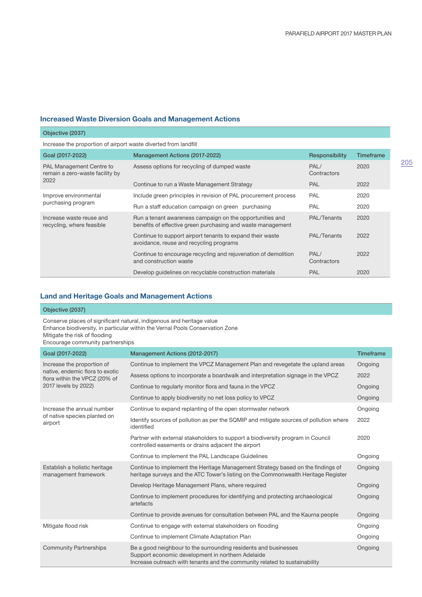#### **Increased Waste Diversion Goals and Management Actions**

#### Objective (2037) Increase the proportion of airport waste diverted from landfill Goal (2017-2022) Management Actions (2017-2022) Responsibility Timeframe PAL Management Centre to remain a zero-waste facility by 2022 Assess options for recycling of dumped waste PAL/ **Contractors** 2020 Continue to run a Waste Management Strategy **PAL** 2022 Improve environmental purchasing program Include green principles in revision of PAL procurement process PAL 2020 Run a staff education campaign on green purchasing PAL PAL 2020 Increase waste reuse and recycling, where feasible Run a tenant awareness campaign on the opportunities and benefits of effective green purchasing and waste management PAL/Tenants 2020 Continue to support airport tenants to expand their waste avoidance, reuse and recycling programs PAL/Tenants 2022 Continue to encourage recycling and rejuvenation of demolition and construction waste PAL/ **Contractors** 2022 Develop guidelines on recyclable construction materials **PAL** PAL 2020

#### **Land and Heritage Goals and Management Actions**

#### Objective (2037)

Conserve places of significant natural, indigenous and heritage value Enhance biodiversity, in particular within the Vernal Pools Conservation Zone Mitigate the risk of flooding

Encourage community partnerships

| Goal (2017-2022)                                                                                                       | Management Actions (2012-2017)                                                                                                                                                                     | <b>Timeframe</b> |
|------------------------------------------------------------------------------------------------------------------------|----------------------------------------------------------------------------------------------------------------------------------------------------------------------------------------------------|------------------|
| Increase the proportion of<br>native, endemic flora to exotic<br>flora within the VPCZ (20% of<br>2017 levels by 2022) | Continue to implement the VPCZ Management Plan and revegetate the upland areas                                                                                                                     | Ongoing          |
|                                                                                                                        | Assess options to incorporate a boardwalk and interpretation signage in the VPCZ                                                                                                                   | 2022             |
|                                                                                                                        | Continue to regularly monitor flora and fauna in the VPCZ                                                                                                                                          | Ongoing          |
|                                                                                                                        | Continue to apply biodiversity no net loss policy to VPCZ                                                                                                                                          | Ongoing          |
| Increase the annual number<br>of native species planted on<br>airport                                                  | Continue to expand replanting of the open stormwater network                                                                                                                                       | Ongoing          |
|                                                                                                                        | Identify sources of pollution as per the SQMIP and mitigate sources of pollution where<br>identified                                                                                               | 2022             |
|                                                                                                                        | Partner with external stakeholders to support a biodiversity program in Council<br>controlled easements or drains adjacent the airport                                                             | 2020             |
|                                                                                                                        | Continue to implement the PAL Landscape Guidelines                                                                                                                                                 | Ongoing          |
| Establish a holistic heritage<br>management framework                                                                  | Continue to implement the Heritage Management Strategy based on the findings of<br>heritage surveys and the ATC Tower's listing on the Commonwealth Heritage Register                              | Ongoing          |
|                                                                                                                        | Develop Heritage Management Plans, where required                                                                                                                                                  | Ongoing          |
|                                                                                                                        | Continue to implement procedures for identifying and protecting archaeological<br>artefacts                                                                                                        | Ongoing          |
|                                                                                                                        | Continue to provide avenues for consultation between PAL and the Kaurna people                                                                                                                     | Ongoing          |
| Mitigate flood risk                                                                                                    | Continue to engage with external stakeholders on flooding                                                                                                                                          | Ongoing          |
|                                                                                                                        | Continue to implement Climate Adaptation Plan                                                                                                                                                      | Ongoing          |
| <b>Community Partnerships</b>                                                                                          | Be a good neighbour to the surrounding residents and businesses<br>Support economic development in northern Adelaide<br>Increase outreach with tenants and the community related to sustainability | Ongoing          |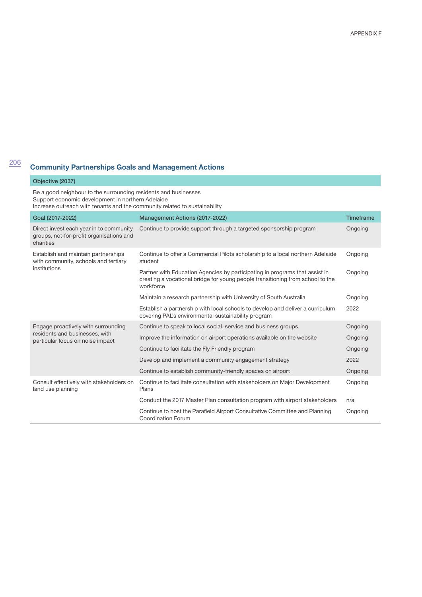# <sup>206</sup> **Community Partnerships Goals and Management Actions**

#### Objective (2037)

Be a good neighbour to the surrounding residents and businesses Support economic development in northern Adelaide Increase outreach with tenants and the community related to sustainability

| Goal (2017-2022)                                                                                          | <b>Management Actions (2017-2022)</b>                                                                                                                                      | <b>Timeframe</b> |
|-----------------------------------------------------------------------------------------------------------|----------------------------------------------------------------------------------------------------------------------------------------------------------------------------|------------------|
| Direct invest each year in to community<br>groups, not-for-profit organisations and<br>charities          | Continue to provide support through a targeted sponsorship program                                                                                                         | Ongoing          |
| Establish and maintain partnerships<br>with community, schools and tertiary<br>institutions               | Continue to offer a Commercial Pilots scholarship to a local northern Adelaide<br>student                                                                                  | Ongoing          |
|                                                                                                           | Partner with Education Agencies by participating in programs that assist in<br>creating a vocational bridge for young people transitioning from school to the<br>workforce | Ongoing          |
|                                                                                                           | Maintain a research partnership with University of South Australia                                                                                                         | Ongoing          |
|                                                                                                           | Establish a partnership with local schools to develop and deliver a curriculum<br>covering PAL's environmental sustainability program                                      | 2022             |
| Engage proactively with surrounding<br>residents and businesses, with<br>particular focus on noise impact | Continue to speak to local social, service and business groups                                                                                                             | Ongoing          |
|                                                                                                           | Improve the information on airport operations available on the website                                                                                                     | Ongoing          |
|                                                                                                           | Continue to facilitate the Fly Friendly program                                                                                                                            | Ongoing          |
|                                                                                                           | Develop and implement a community engagement strategy                                                                                                                      | 2022             |
|                                                                                                           | Continue to establish community-friendly spaces on airport                                                                                                                 | Ongoing          |
| Consult effectively with stakeholders on<br>land use planning                                             | Continue to facilitate consultation with stakeholders on Major Development<br>Plans                                                                                        | Ongoing          |
|                                                                                                           | Conduct the 2017 Master Plan consultation program with airport stakeholders                                                                                                | n/a              |
|                                                                                                           | Continue to host the Parafield Airport Consultative Committee and Planning<br>Coordination Forum                                                                           | Ongoing          |